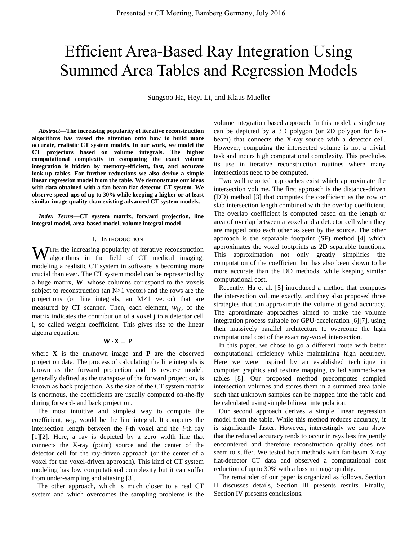# Efficient Area-Based Ray Integration Using Summed Area Tables and Regression Models

Sungsoo Ha, Heyi Li, and Klaus Mueller

*Abstract***—The increasing popularity of iterative reconstruction algorithms has raised the attention onto how to build more accurate, realistic CT system models. In our work, we model the CT projectors based on volume integrals. The higher computational complexity in computing the exact volume integration is hidden by memory-efficient, fast, and accurate look-up tables. For further reductions we also derive a simple linear regression model from the table. We demonstrate our ideas with data obtained with a fan-beam flat-detector CT system. We observe speed-ups of up to 30% while keeping a higher or at least similar image quality than existing advanced CT system models.**

*Index Terms***—CT system matrix, forward projection, line integral model, area-based model, volume integral model** 

### I. INTRODUCTION

 $\mathbf{W}$ ITH the increasing popularity of iterative reconstruction algorithms in the field of CT medical imaging, algorithms in the field of CT medical imaging, modeling a realistic CT system in software is becoming more crucial than ever. The CT system model can be represented by a huge matrix, **W**, whose columns correspond to the voxels subject to reconstruction (an  $N \times 1$  vector) and the rows are the projections (or line integrals, an M×1 vector) that are measured by CT scanner. Then, each element,  $w_{ij}$ , of the matrix indicates the contribution of a voxel j to a detector cell i, so called weight coefficient. This gives rise to the linear algebra equation:

# $W \cdot X = P$

where **X** is the unknown image and **P** are the observed projection data. The process of calculating the line integrals is known as the forward projection and its reverse model, generally defined as the transpose of the forward projection, is known as back projection. As the size of the CT system matrix is enormous, the coefficients are usually computed on-the-fly during forward- and back projection.

 The most intuitive and simplest way to compute the coefficient,  $w_{ij}$ , would be the line integral. It computes the intersection length between the *j*-th voxel and the *i*-th ray [1][2]. Here, a ray is depicted by a zero width line that connects the X-ray (point) source and the center of the detector cell for the ray-driven approach (or the center of a voxel for the voxel-driven approach). This kind of CT system modeling has low computational complexity but it can suffer from under-sampling and aliasing [3].

 The other approach, which is much closer to a real CT system and which overcomes the sampling problems is the volume integration based approach. In this model, a single ray can be depicted by a 3D polygon (or 2D polygon for fanbeam) that connects the X-ray source with a detector cell. However, computing the intersected volume is not a trivial task and incurs high computational complexity. This precludes its use in iterative reconstruction routines where many intersections need to be computed.

 Two well reported approaches exist which approximate the intersection volume. The first approach is the distance-driven (DD) method [3] that computes the coefficient as the row or slab intersection length combined with the overlap coefficient. The overlap coefficient is computed based on the length or area of overlap between a voxel and a detector cell when they are mapped onto each other as seen by the source. The other approach is the separable footprint (SF) method [4] which approximates the voxel footprints as 2D separable functions. This approximation not only greatly simplifies the computation of the coefficient but has also been shown to be more accurate than the DD methods, while keeping similar computational cost.

 Recently, Ha et al. [5] introduced a method that computes the intersection volume exactly, and they also proposed three strategies that can approximate the volume at good accuracy. The approximate approaches aimed to make the volume integration process suitable for GPU-acceleration [6][7], using their massively parallel architecture to overcome the high computational cost of the exact ray-voxel intersection.

 In this paper, we chose to go a different route with better computational efficiency while maintaining high accuracy. Here we were inspired by an established technique in computer graphics and texture mapping, called summed-area tables [8]. Our proposed method precomputes sampled intersection volumes and stores them in a summed area table such that unknown samples can be mapped into the table and be calculated using simple bilinear interpolation.

 Our second approach derives a simple linear regression model from the table. While this method reduces accuracy, it is significantly faster. However, interestingly we can show that the reduced accuracy tends to occur in rays less frequently encountered and therefore reconstruction quality does not seem to suffer. We tested both methods with fan-beam X-ray flat-detector CT data and observed a computational cost reduction of up to 30% with a loss in image quality.

 The remainder of our paper is organized as follows. Section II discusses details, Section III presents results. Finally, Section IV presents conclusions.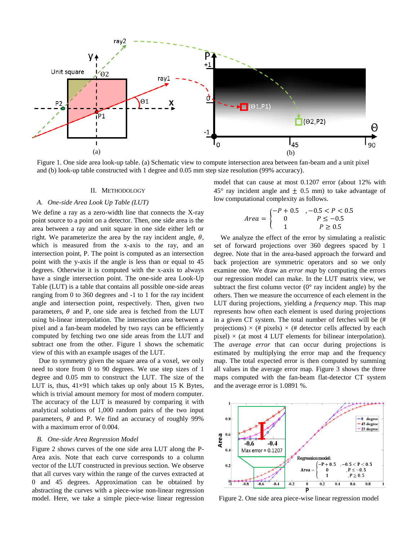

Figure 1. One side area look-up table. (a) Schematic view to compute intersection area between fan-beam and a unit pixel and (b) look-up table constructed with 1 degree and 0.05 mm step size resolution (99% accuracy).

### II. METHODOLOGY

# A. One-side Area Look Up Table (LUT)

We define a ray as a zero-width line that connects the X-ray point source to a point on a detector. Then, one side area is the area between a ray and unit square in one side either left or right. We parameterize the area by the ray incident angle,  $\theta$ , which is measured from the x-axis to the ray, and an intersection point, P. The point is computed as an intersection point with the y-axis if the angle is less than or equal to 45 degrees. Otherwise it is computed with the x-axis to always have a single intersection point. The one-side area Look-Up Table (LUT) is a table that contains all possible one-side areas ranging from 0 to 360 degrees and -1 to 1 for the ray incident angle and intersection point, respectively. Then, given two parameters,  $\theta$  and P, one side area is fetched from the LUT using bi-linear interpolation. The intersection area between a pixel and a fan-beam modeled by two rays can be efficiently computed by fetching two one side areas from the LUT and subtract one from the other. Figure 1 shows the schematic view of this with an example usages of the LUT.

Due to symmetry given the square area of a voxel, we only need to store from 0 to 90 degrees. We use step sizes of 1 degree and 0.05 mm to construct the LUT. The size of the LUT is, thus,  $41\times91$  which takes up only about 15 K Bytes, which is trivial amount memory for most of modern computer. The accuracy of the LUT is measured by comparing it with analytical solutions of 1,000 random pairs of the two input parameters,  $\theta$  and P. We find an accuracy of roughly 99% with a maximum error of 0.004.

# B. One-side Area Regression Model

Figure 2 shows curves of the one side area LUT along the P-Area axis. Note that each curve corresponds to a column vector of the LUT constructed in previous section. We observe that all curves vary within the range of the curves extracted at 0 and 45 degrees. Approximation can be obtained by abstracting the curves with a piece-wise non-linear regression model. Here, we take a simple piece-wise linear regression model that can cause at most 0.1207 error (about 12% with  $45^{\circ}$  ray incident angle and  $\pm$  0.5 mm) to take advantage of low computational complexity as follows.

$$
Area = \begin{cases} -P + 0.5 & , -0.5 < P < 0.5 \\ 0 & P \le -0.5 \\ 1 & P \ge 0.5 \end{cases}
$$

We analyze the effect of the error by simulating a realistic set of forward projections over 360 degrees spaced by 1 degree. Note that in the area-based approach the forward and back projection are symmetric operators and so we only examine one. We draw an *error map* by computing the errors our regression model can make. In the LUT matrix view, we subtract the first column vector  $(0^{\circ})$  ray incident angle) by the others. Then we measure the occurrence of each element in the LUT during projections, yielding a *frequency map*. This map represents how often each element is used during projections in a given CT system. The total number of fetches will be (# projections)  $\times$  (# pixels)  $\times$  (# detector cells affected by each pixel)  $\times$  (at most 4 LUT elements for bilinear interpolation). The *average error* that can occur during projections is estimated by multiplying the error map and the frequency map. The total expected error is then computed by summing all values in the average error map. Figure 3 shows the three maps computed with the fan-beam flat-detector CT system and the average error is 1.0891 %.



Figure 2. One side area piece-wise linear regression model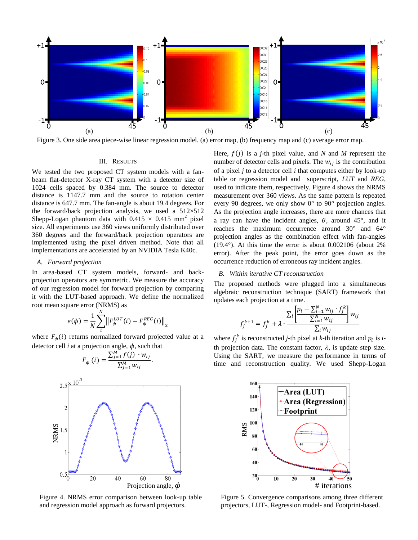

Figure 3. One side area piece-wise linear regression model. (a) error map, (b) frequency map and (c) average error map.

# III. RESULTS

We tested the two proposed CT system models with a fanbeam flat-detector X-ray CT system with a detector size of 1024 cells spaced by 0.384 mm. The source to detector distance is 1147.7 mm and the source to rotation center distance is 647.7 mm. The fan-angle is about 19.4 degrees. For the forward/back projection analysis, we used a  $512\times512$ Shepp-Logan phantom data with  $0.415 \times 0.415$  mm<sup>2</sup> pixel size. All experiments use 360 views uniformly distributed over 360 degrees and the forward/back projection operators are implemented using the pixel driven method. Note that all implementations are accelerated by an NVIDIA Tesla K40c.

#### A. Forward projection

In area-based CT system models, forward- and backprojection operators are symmetric. We measure the accuracy of our regression model for forward projection by comparing it with the LUT-based approach. We define the normalized root mean square error (NRMS) as

$$
e(\phi) = \frac{1}{N} \sum_{i}^{N} \left\| F_{\phi}^{LUT}(i) - F_{\phi}^{REG}(i) \right\|_{2}
$$

where  $F_{\phi}(i)$  returns normalized forward projected value at a detector cell  $i$  at a projection angle,  $\phi$ , such that



Figure 4. NRMS error comparison between look-up table and regression model approach as forward projectors.

Here,  $f(j)$  is a *j*-th pixel value, and N and M represent the number of detector cells and pixels. The  $w_{ij}$  is the contribution of a pixel  $i$  to a detector cell  $i$  that computes either by look-up table or regression model and superscript, LUT and REG, used to indicate them, respectively. Figure 4 shows the NRMS measurement over 360 views. As the same pattern is repeated every 90 degrees, we only show  $0^{\circ}$  to 90° projection angles. As the projection angle increases, there are more chances that a ray can have the incident angles,  $\theta$ , around 45°, and it reaches the maximum occurrence around  $30^{\circ}$  and  $64^{\circ}$ projection angles as the combination effect with fan-angles  $(19.4^{\circ})$ . At this time the error is about 0.002106 (about 2%) error). After the peak point, the error goes down as the occurrence reduction of erroneous ray incident angles.

# B. Within iterative CT reconstruction

The proposed methods were plugged into a simultaneous algebraic reconstruction technique (SART) framework that updates each projection at a time.

$$
f_j^{k+1} = f_j^k + \lambda \cdot \frac{\sum_{i} \left[ \frac{p_i - \sum_{i=1}^N w_{ij} \cdot f_j^k}{\sum_{i=1}^N w_{ij}} \right] w_{ij}}{\sum_{i} w_{ij}}
$$

where  $f_i^k$  is reconstructed *j*-th pixel at *k*-th iteration and  $p_i$  is *i*th projection data. The constant factor,  $\lambda$ , is update step size. Using the SART, we measure the performance in terms of time and reconstruction quality. We used Shepp-Logan



Figure 5. Convergence comparisons among three different projectors, LUT-, Regression model- and Footprint-based.